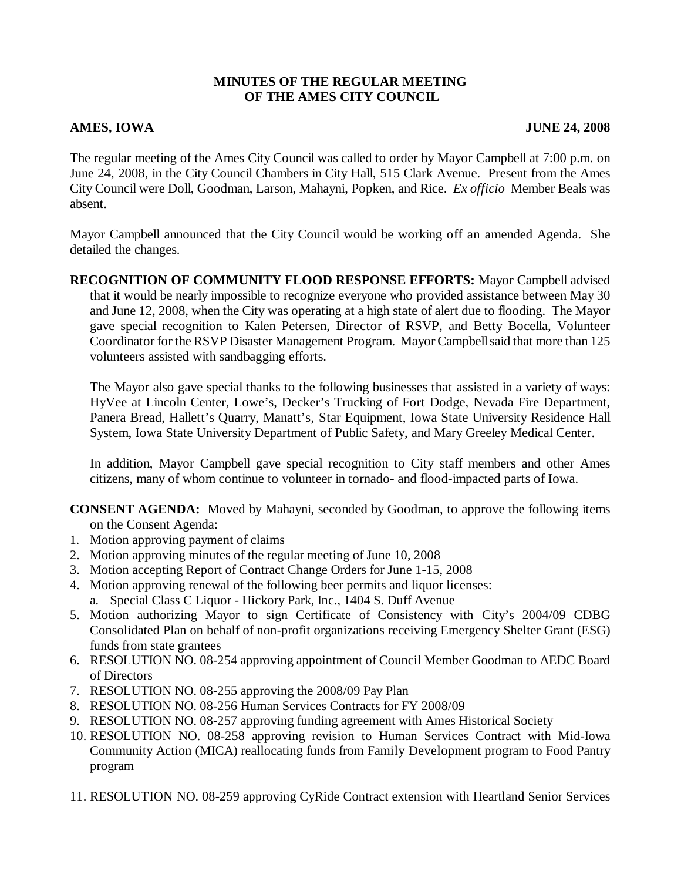## **MINUTES OF THE REGULAR MEETING OF THE AMES CITY COUNCIL**

## **AMES, IOWA** JUNE 24, 2008

The regular meeting of the Ames City Council was called to order by Mayor Campbell at 7:00 p.m. on June 24, 2008, in the City Council Chambers in City Hall, 515 Clark Avenue. Present from the Ames City Council were Doll, Goodman, Larson, Mahayni, Popken, and Rice. *Ex officio* Member Beals was absent.

Mayor Campbell announced that the City Council would be working off an amended Agenda. She detailed the changes.

**RECOGNITION OF COMMUNITY FLOOD RESPONSE EFFORTS:** Mayor Campbell advised that it would be nearly impossible to recognize everyone who provided assistance between May 30 and June 12, 2008, when the City was operating at a high state of alert due to flooding. The Mayor gave special recognition to Kalen Petersen, Director of RSVP, and Betty Bocella, Volunteer Coordinator for the RSVP Disaster Management Program. Mayor Campbell said that more than 125 volunteers assisted with sandbagging efforts.

The Mayor also gave special thanks to the following businesses that assisted in a variety of ways: HyVee at Lincoln Center, Lowe's, Decker's Trucking of Fort Dodge, Nevada Fire Department, Panera Bread, Hallett's Quarry, Manatt's, Star Equipment, Iowa State University Residence Hall System, Iowa State University Department of Public Safety, and Mary Greeley Medical Center.

In addition, Mayor Campbell gave special recognition to City staff members and other Ames citizens, many of whom continue to volunteer in tornado- and flood-impacted parts of Iowa.

**CONSENT AGENDA:** Moved by Mahayni, seconded by Goodman, to approve the following items on the Consent Agenda:

- 1. Motion approving payment of claims
- 2. Motion approving minutes of the regular meeting of June 10, 2008
- 3. Motion accepting Report of Contract Change Orders for June 1-15, 2008
- 4. Motion approving renewal of the following beer permits and liquor licenses: a. Special Class C Liquor - Hickory Park, Inc., 1404 S. Duff Avenue
- 5. Motion authorizing Mayor to sign Certificate of Consistency with City's 2004/09 CDBG Consolidated Plan on behalf of non-profit organizations receiving Emergency Shelter Grant (ESG) funds from state grantees
- 6. RESOLUTION NO. 08-254 approving appointment of Council Member Goodman to AEDC Board of Directors
- 7. RESOLUTION NO. 08-255 approving the 2008/09 Pay Plan
- 8. RESOLUTION NO. 08-256 Human Services Contracts for FY 2008/09
- 9. RESOLUTION NO. 08-257 approving funding agreement with Ames Historical Society
- 10. RESOLUTION NO. 08-258 approving revision to Human Services Contract with Mid-Iowa Community Action (MICA) reallocating funds from Family Development program to Food Pantry program
- 11. RESOLUTION NO. 08-259 approving CyRide Contract extension with Heartland Senior Services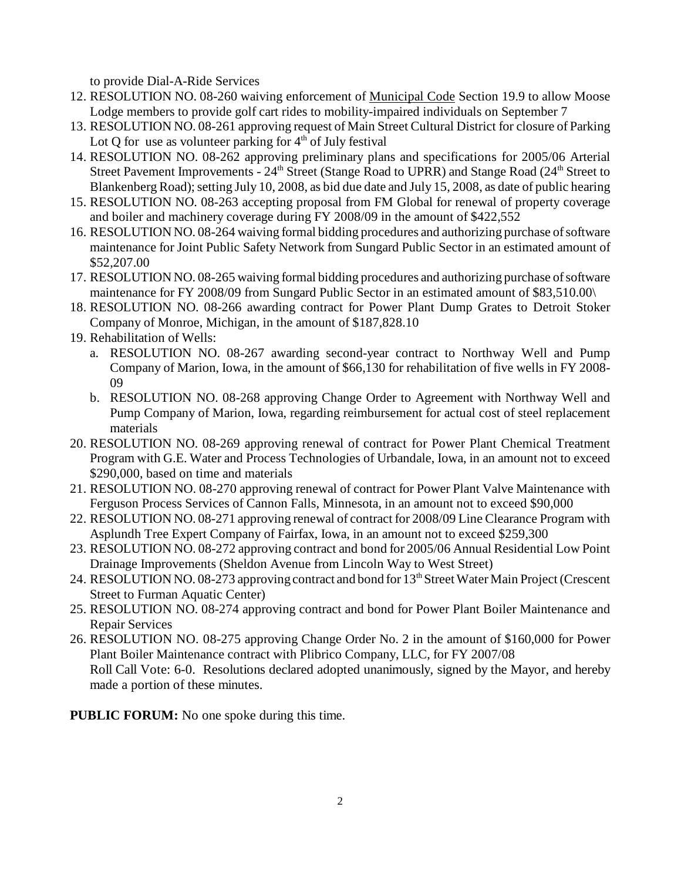to provide Dial-A-Ride Services

- 12. RESOLUTION NO. 08-260 waiving enforcement of **Municipal Code** Section 19.9 to allow Moose Lodge members to provide golf cart rides to mobility-impaired individuals on September 7
- 13. RESOLUTION NO. 08-261 approving request of Main Street Cultural District for closure of Parking Lot Q for use as volunteer parking for  $4<sup>th</sup>$  of July festival
- 14. RESOLUTION NO. 08-262 approving preliminary plans and specifications for 2005/06 Arterial Street Pavement Improvements - 24<sup>th</sup> Street (Stange Road to UPRR) and Stange Road (24<sup>th</sup> Street to Blankenberg Road); setting July 10, 2008, as bid due date and July 15, 2008, as date of public hearing
- 15. RESOLUTION NO. 08-263 accepting proposal from FM Global for renewal of property coverage and boiler and machinery coverage during FY 2008/09 in the amount of \$422,552
- 16. RESOLUTION NO. 08-264 waiving formal bidding procedures and authorizing purchase of software maintenance for Joint Public Safety Network from Sungard Public Sector in an estimated amount of \$52,207.00
- 17. RESOLUTION NO. 08-265 waiving formal bidding procedures and authorizing purchase of software maintenance for FY 2008/09 from Sungard Public Sector in an estimated amount of \$83,510.00\
- 18. RESOLUTION NO. 08-266 awarding contract for Power Plant Dump Grates to Detroit Stoker Company of Monroe, Michigan, in the amount of \$187,828.10
- 19. Rehabilitation of Wells:
	- a. RESOLUTION NO. 08-267 awarding second-year contract to Northway Well and Pump Company of Marion, Iowa, in the amount of \$66,130 for rehabilitation of five wells in FY 2008- 09
	- b. RESOLUTION NO. 08-268 approving Change Order to Agreement with Northway Well and Pump Company of Marion, Iowa, regarding reimbursement for actual cost of steel replacement materials
- 20. RESOLUTION NO. 08-269 approving renewal of contract for Power Plant Chemical Treatment Program with G.E. Water and Process Technologies of Urbandale, Iowa, in an amount not to exceed \$290,000, based on time and materials
- 21. RESOLUTION NO. 08-270 approving renewal of contract for Power Plant Valve Maintenance with Ferguson Process Services of Cannon Falls, Minnesota, in an amount not to exceed \$90,000
- 22. RESOLUTION NO. 08-271 approving renewal of contract for 2008/09 Line Clearance Program with Asplundh Tree Expert Company of Fairfax, Iowa, in an amount not to exceed \$259,300
- 23. RESOLUTION NO. 08-272 approving contract and bond for 2005/06 Annual Residential Low Point Drainage Improvements (Sheldon Avenue from Lincoln Way to West Street)
- 24. RESOLUTION NO. 08-273 approving contract and bond for 13<sup>th</sup> Street Water Main Project (Crescent Street to Furman Aquatic Center)
- 25. RESOLUTION NO. 08-274 approving contract and bond for Power Plant Boiler Maintenance and Repair Services
- 26. RESOLUTION NO. 08-275 approving Change Order No. 2 in the amount of \$160,000 for Power Plant Boiler Maintenance contract with Plibrico Company, LLC, for FY 2007/08 Roll Call Vote: 6-0. Resolutions declared adopted unanimously, signed by the Mayor, and hereby made a portion of these minutes.

**PUBLIC FORUM:** No one spoke during this time.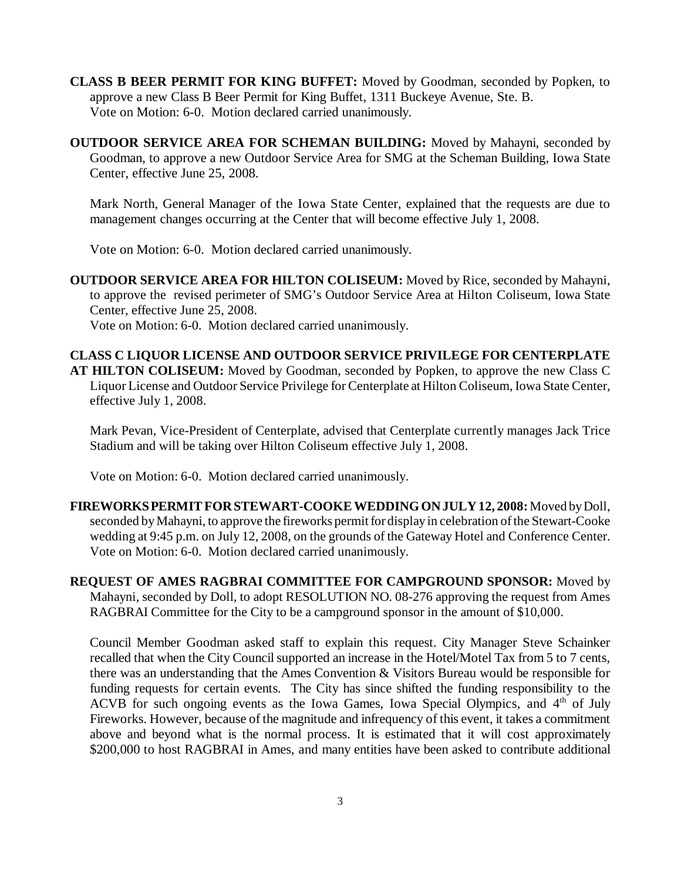**CLASS B BEER PERMIT FOR KING BUFFET:** Moved by Goodman, seconded by Popken, to approve a new Class B Beer Permit for King Buffet, 1311 Buckeye Avenue, Ste. B. Vote on Motion: 6-0. Motion declared carried unanimously.

**OUTDOOR SERVICE AREA FOR SCHEMAN BUILDING:** Moved by Mahayni, seconded by Goodman, to approve a new Outdoor Service Area for SMG at the Scheman Building, Iowa State Center, effective June 25, 2008.

Mark North, General Manager of the Iowa State Center, explained that the requests are due to management changes occurring at the Center that will become effective July 1, 2008.

Vote on Motion: 6-0. Motion declared carried unanimously.

**OUTDOOR SERVICE AREA FOR HILTON COLISEUM:** Moved by Rice, seconded by Mahayni, to approve the revised perimeter of SMG's Outdoor Service Area at Hilton Coliseum, Iowa State Center, effective June 25, 2008.

Vote on Motion: 6-0. Motion declared carried unanimously.

**CLASS C LIQUOR LICENSE AND OUTDOOR SERVICE PRIVILEGE FOR CENTERPLATE AT HILTON COLISEUM:** Moved by Goodman, seconded by Popken, to approve the new Class C Liquor License and Outdoor Service Privilege for Centerplate at Hilton Coliseum, Iowa State Center, effective July 1, 2008.

Mark Pevan, Vice-President of Centerplate, advised that Centerplate currently manages Jack Trice Stadium and will be taking over Hilton Coliseum effective July 1, 2008.

Vote on Motion: 6-0. Motion declared carried unanimously.

**FIREWORKS PERMIT FOR STEWART-COOKE WEDDING ON JULY 12, 2008:** Moved by Doll, seconded by Mahayni, to approve the fireworks permit for display in celebration of the Stewart-Cooke wedding at 9:45 p.m. on July 12, 2008, on the grounds of the Gateway Hotel and Conference Center. Vote on Motion: 6-0. Motion declared carried unanimously.

**REQUEST OF AMES RAGBRAI COMMITTEE FOR CAMPGROUND SPONSOR:** Moved by Mahayni, seconded by Doll, to adopt RESOLUTION NO. 08-276 approving the request from Ames RAGBRAI Committee for the City to be a campground sponsor in the amount of \$10,000.

Council Member Goodman asked staff to explain this request. City Manager Steve Schainker recalled that when the City Council supported an increase in the Hotel/Motel Tax from 5 to 7 cents, there was an understanding that the Ames Convention & Visitors Bureau would be responsible for funding requests for certain events. The City has since shifted the funding responsibility to the ACVB for such ongoing events as the Iowa Games, Iowa Special Olympics, and  $4<sup>th</sup>$  of July Fireworks. However, because of the magnitude and infrequency of this event, it takes a commitment above and beyond what is the normal process. It is estimated that it will cost approximately \$200,000 to host RAGBRAI in Ames, and many entities have been asked to contribute additional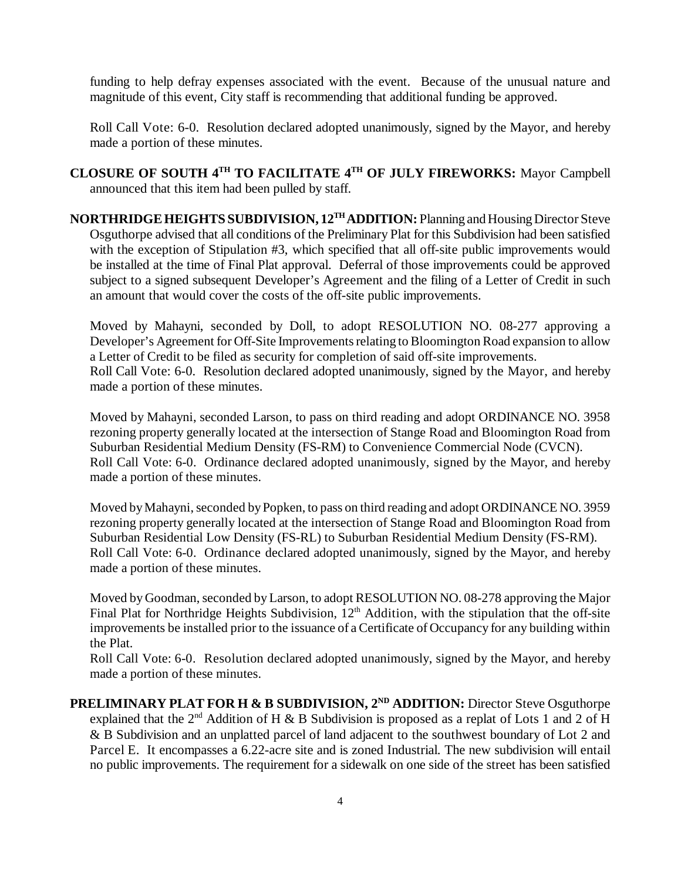funding to help defray expenses associated with the event. Because of the unusual nature and magnitude of this event, City staff is recommending that additional funding be approved.

Roll Call Vote: 6-0. Resolution declared adopted unanimously, signed by the Mayor, and hereby made a portion of these minutes.

**CLOSURE OF SOUTH 4TH TO FACILITATE 4TH OF JULY FIREWORKS:** Mayor Campbell announced that this item had been pulled by staff.

**NORTHRIDGE HEIGHTS SUBDIVISION, 12TH ADDITION:** Planning and Housing Director Steve Osguthorpe advised that all conditions of the Preliminary Plat for this Subdivision had been satisfied with the exception of Stipulation #3, which specified that all off-site public improvements would be installed at the time of Final Plat approval. Deferral of those improvements could be approved subject to a signed subsequent Developer's Agreement and the filing of a Letter of Credit in such an amount that would cover the costs of the off-site public improvements.

Moved by Mahayni, seconded by Doll, to adopt RESOLUTION NO. 08-277 approving a Developer's Agreement for Off-Site Improvements relating to Bloomington Road expansion to allow a Letter of Credit to be filed as security for completion of said off-site improvements. Roll Call Vote: 6-0. Resolution declared adopted unanimously, signed by the Mayor, and hereby made a portion of these minutes.

Moved by Mahayni, seconded Larson, to pass on third reading and adopt ORDINANCE NO. 3958 rezoning property generally located at the intersection of Stange Road and Bloomington Road from Suburban Residential Medium Density (FS-RM) to Convenience Commercial Node (CVCN). Roll Call Vote: 6-0. Ordinance declared adopted unanimously, signed by the Mayor, and hereby made a portion of these minutes.

Moved by Mahayni, seconded by Popken, to pass on third reading and adopt ORDINANCE NO. 3959 rezoning property generally located at the intersection of Stange Road and Bloomington Road from Suburban Residential Low Density (FS-RL) to Suburban Residential Medium Density (FS-RM). Roll Call Vote: 6-0. Ordinance declared adopted unanimously, signed by the Mayor, and hereby made a portion of these minutes.

Moved by Goodman, seconded by Larson, to adopt RESOLUTION NO. 08-278 approving the Major Final Plat for Northridge Heights Subdivision,  $12<sup>th</sup>$  Addition, with the stipulation that the off-site improvements be installed prior to the issuance of a Certificate of Occupancy for any building within the Plat.

Roll Call Vote: 6-0. Resolution declared adopted unanimously, signed by the Mayor, and hereby made a portion of these minutes.

**PRELIMINARY PLAT FOR H & B SUBDIVISION, 2<sup>ND</sup> ADDITION:** Director Steve Osguthorpe explained that the  $2<sup>nd</sup>$  Addition of H & B Subdivision is proposed as a replat of Lots 1 and 2 of H & B Subdivision and an unplatted parcel of land adjacent to the southwest boundary of Lot 2 and Parcel E. It encompasses a 6.22-acre site and is zoned Industrial. The new subdivision will entail no public improvements. The requirement for a sidewalk on one side of the street has been satisfied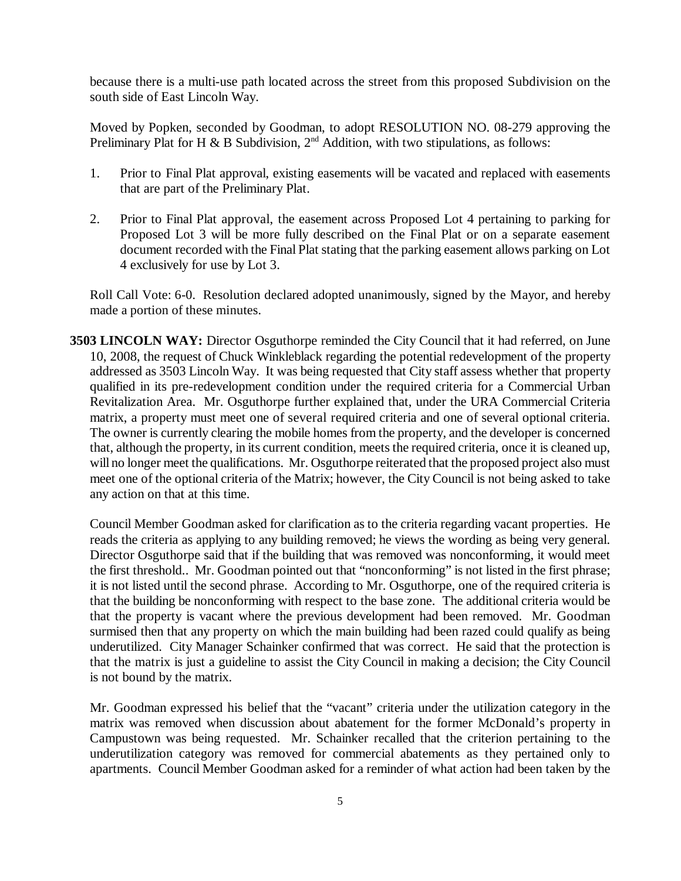because there is a multi-use path located across the street from this proposed Subdivision on the south side of East Lincoln Way.

Moved by Popken, seconded by Goodman, to adopt RESOLUTION NO. 08-279 approving the Preliminary Plat for H & B Subdivision,  $2<sup>nd</sup>$  Addition, with two stipulations, as follows:

- 1. Prior to Final Plat approval, existing easements will be vacated and replaced with easements that are part of the Preliminary Plat.
- 2. Prior to Final Plat approval, the easement across Proposed Lot 4 pertaining to parking for Proposed Lot 3 will be more fully described on the Final Plat or on a separate easement document recorded with the Final Plat stating that the parking easement allows parking on Lot 4 exclusively for use by Lot 3.

Roll Call Vote: 6-0. Resolution declared adopted unanimously, signed by the Mayor, and hereby made a portion of these minutes.

**3503 LINCOLN WAY:** Director Osguthorpe reminded the City Council that it had referred, on June 10, 2008, the request of Chuck Winkleblack regarding the potential redevelopment of the property addressed as 3503 Lincoln Way. It was being requested that City staff assess whether that property qualified in its pre-redevelopment condition under the required criteria for a Commercial Urban Revitalization Area. Mr. Osguthorpe further explained that, under the URA Commercial Criteria matrix, a property must meet one of several required criteria and one of several optional criteria. The owner is currently clearing the mobile homes from the property, and the developer is concerned that, although the property, in its current condition, meets the required criteria, once it is cleaned up, will no longer meet the qualifications. Mr. Osguthorpe reiterated that the proposed project also must meet one of the optional criteria of the Matrix; however, the City Council is not being asked to take any action on that at this time.

Council Member Goodman asked for clarification as to the criteria regarding vacant properties. He reads the criteria as applying to any building removed; he views the wording as being very general. Director Osguthorpe said that if the building that was removed was nonconforming, it would meet the first threshold.. Mr. Goodman pointed out that "nonconforming" is not listed in the first phrase; it is not listed until the second phrase. According to Mr. Osguthorpe, one of the required criteria is that the building be nonconforming with respect to the base zone. The additional criteria would be that the property is vacant where the previous development had been removed. Mr. Goodman surmised then that any property on which the main building had been razed could qualify as being underutilized. City Manager Schainker confirmed that was correct. He said that the protection is that the matrix is just a guideline to assist the City Council in making a decision; the City Council is not bound by the matrix.

Mr. Goodman expressed his belief that the "vacant" criteria under the utilization category in the matrix was removed when discussion about abatement for the former McDonald's property in Campustown was being requested. Mr. Schainker recalled that the criterion pertaining to the underutilization category was removed for commercial abatements as they pertained only to apartments. Council Member Goodman asked for a reminder of what action had been taken by the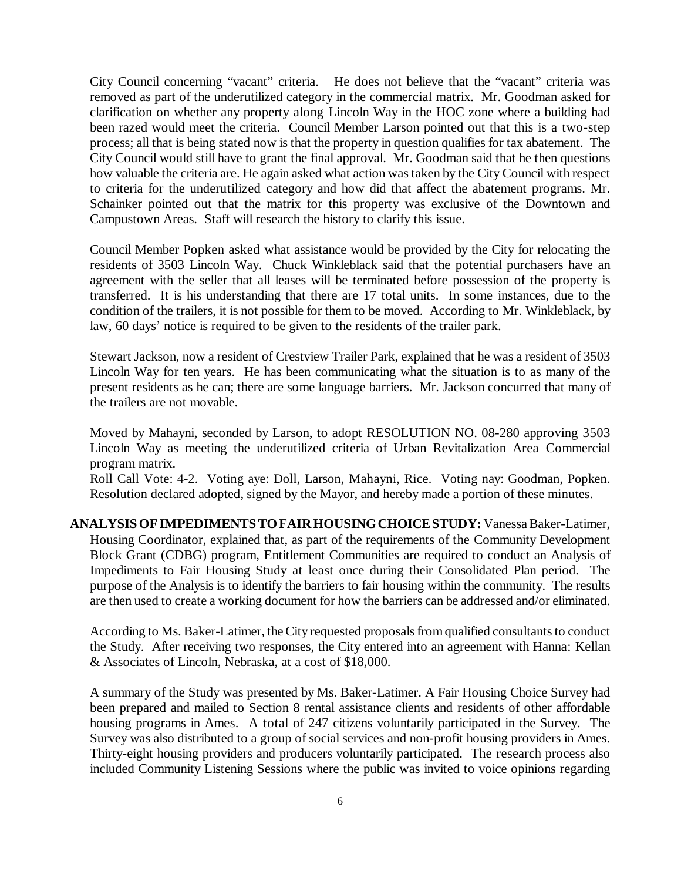City Council concerning "vacant" criteria. He does not believe that the "vacant" criteria was removed as part of the underutilized category in the commercial matrix. Mr. Goodman asked for clarification on whether any property along Lincoln Way in the HOC zone where a building had been razed would meet the criteria. Council Member Larson pointed out that this is a two-step process; all that is being stated now is that the property in question qualifies for tax abatement. The City Council would still have to grant the final approval. Mr. Goodman said that he then questions how valuable the criteria are. He again asked what action was taken by the City Council with respect to criteria for the underutilized category and how did that affect the abatement programs. Mr. Schainker pointed out that the matrix for this property was exclusive of the Downtown and Campustown Areas. Staff will research the history to clarify this issue.

Council Member Popken asked what assistance would be provided by the City for relocating the residents of 3503 Lincoln Way. Chuck Winkleblack said that the potential purchasers have an agreement with the seller that all leases will be terminated before possession of the property is transferred. It is his understanding that there are 17 total units. In some instances, due to the condition of the trailers, it is not possible for them to be moved. According to Mr. Winkleblack, by law, 60 days' notice is required to be given to the residents of the trailer park.

Stewart Jackson, now a resident of Crestview Trailer Park, explained that he was a resident of 3503 Lincoln Way for ten years. He has been communicating what the situation is to as many of the present residents as he can; there are some language barriers. Mr. Jackson concurred that many of the trailers are not movable.

Moved by Mahayni, seconded by Larson, to adopt RESOLUTION NO. 08-280 approving 3503 Lincoln Way as meeting the underutilized criteria of Urban Revitalization Area Commercial program matrix.

Roll Call Vote: 4-2. Voting aye: Doll, Larson, Mahayni, Rice. Voting nay: Goodman, Popken. Resolution declared adopted, signed by the Mayor, and hereby made a portion of these minutes.

**ANALYSIS OF IMPEDIMENTS TO FAIR HOUSING CHOICE STUDY:** Vanessa Baker-Latimer, Housing Coordinator, explained that, as part of the requirements of the Community Development Block Grant (CDBG) program, Entitlement Communities are required to conduct an Analysis of Impediments to Fair Housing Study at least once during their Consolidated Plan period. The purpose of the Analysis is to identify the barriers to fair housing within the community. The results are then used to create a working document for how the barriers can be addressed and/or eliminated.

According to Ms. Baker-Latimer, the City requested proposals from qualified consultants to conduct the Study. After receiving two responses, the City entered into an agreement with Hanna: Kellan & Associates of Lincoln, Nebraska, at a cost of \$18,000.

A summary of the Study was presented by Ms. Baker-Latimer. A Fair Housing Choice Survey had been prepared and mailed to Section 8 rental assistance clients and residents of other affordable housing programs in Ames. A total of 247 citizens voluntarily participated in the Survey. The Survey was also distributed to a group of social services and non-profit housing providers in Ames. Thirty-eight housing providers and producers voluntarily participated. The research process also included Community Listening Sessions where the public was invited to voice opinions regarding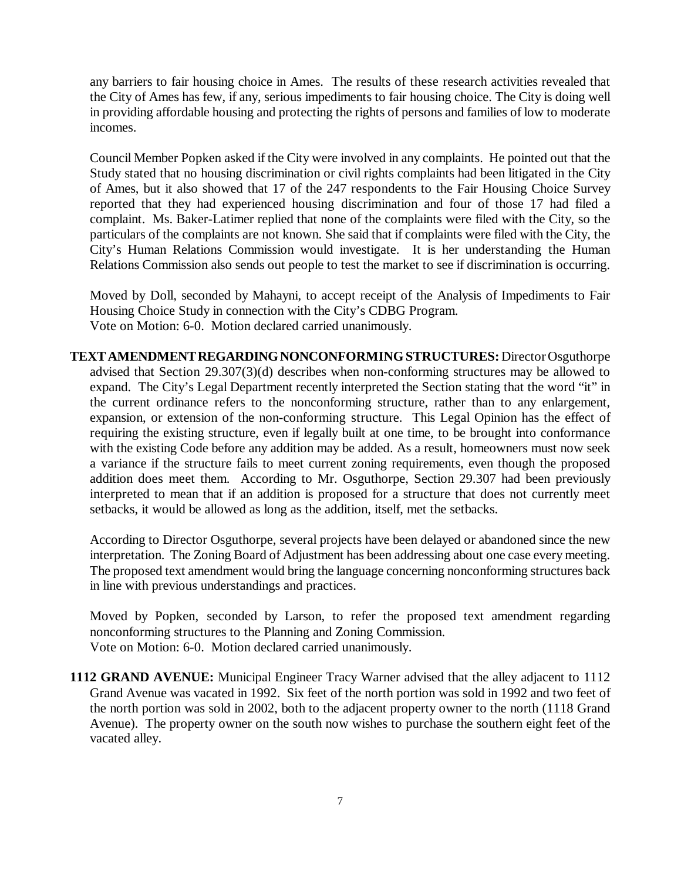any barriers to fair housing choice in Ames. The results of these research activities revealed that the City of Ames has few, if any, serious impediments to fair housing choice. The City is doing well in providing affordable housing and protecting the rights of persons and families of low to moderate incomes.

Council Member Popken asked if the City were involved in any complaints. He pointed out that the Study stated that no housing discrimination or civil rights complaints had been litigated in the City of Ames, but it also showed that 17 of the 247 respondents to the Fair Housing Choice Survey reported that they had experienced housing discrimination and four of those 17 had filed a complaint. Ms. Baker-Latimer replied that none of the complaints were filed with the City, so the particulars of the complaints are not known. She said that if complaints were filed with the City, the City's Human Relations Commission would investigate. It is her understanding the Human Relations Commission also sends out people to test the market to see if discrimination is occurring.

Moved by Doll, seconded by Mahayni, to accept receipt of the Analysis of Impediments to Fair Housing Choice Study in connection with the City's CDBG Program. Vote on Motion: 6-0. Motion declared carried unanimously.

**TEXT AMENDMENT REGARDING NONCONFORMING STRUCTURES:** Director Osguthorpe advised that Section 29.307(3)(d) describes when non-conforming structures may be allowed to expand. The City's Legal Department recently interpreted the Section stating that the word "it" in the current ordinance refers to the nonconforming structure, rather than to any enlargement, expansion, or extension of the non-conforming structure. This Legal Opinion has the effect of requiring the existing structure, even if legally built at one time, to be brought into conformance with the existing Code before any addition may be added. As a result, homeowners must now seek a variance if the structure fails to meet current zoning requirements, even though the proposed addition does meet them. According to Mr. Osguthorpe, Section 29.307 had been previously interpreted to mean that if an addition is proposed for a structure that does not currently meet setbacks, it would be allowed as long as the addition, itself, met the setbacks.

According to Director Osguthorpe, several projects have been delayed or abandoned since the new interpretation. The Zoning Board of Adjustment has been addressing about one case every meeting. The proposed text amendment would bring the language concerning nonconforming structures back in line with previous understandings and practices.

Moved by Popken, seconded by Larson, to refer the proposed text amendment regarding nonconforming structures to the Planning and Zoning Commission. Vote on Motion: 6-0. Motion declared carried unanimously.

**1112 GRAND AVENUE:** Municipal Engineer Tracy Warner advised that the alley adjacent to 1112 Grand Avenue was vacated in 1992. Six feet of the north portion was sold in 1992 and two feet of the north portion was sold in 2002, both to the adjacent property owner to the north (1118 Grand Avenue). The property owner on the south now wishes to purchase the southern eight feet of the vacated alley.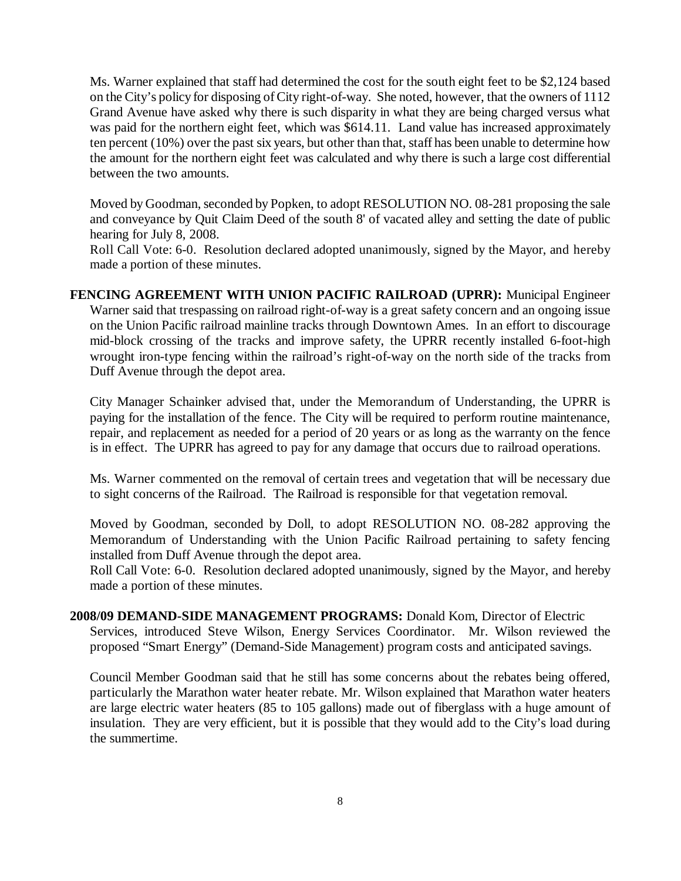Ms. Warner explained that staff had determined the cost for the south eight feet to be \$2,124 based on the City's policy for disposing of City right-of-way. She noted, however, that the owners of 1112 Grand Avenue have asked why there is such disparity in what they are being charged versus what was paid for the northern eight feet, which was \$614.11. Land value has increased approximately ten percent (10%) over the past six years, but other than that, staff has been unable to determine how the amount for the northern eight feet was calculated and why there is such a large cost differential between the two amounts.

Moved by Goodman, seconded by Popken, to adopt RESOLUTION NO. 08-281 proposing the sale and conveyance by Quit Claim Deed of the south 8' of vacated alley and setting the date of public hearing for July 8, 2008.

Roll Call Vote: 6-0. Resolution declared adopted unanimously, signed by the Mayor, and hereby made a portion of these minutes.

**FENCING AGREEMENT WITH UNION PACIFIC RAILROAD (UPRR):** Municipal Engineer Warner said that trespassing on railroad right-of-way is a great safety concern and an ongoing issue on the Union Pacific railroad mainline tracks through Downtown Ames. In an effort to discourage mid-block crossing of the tracks and improve safety, the UPRR recently installed 6-foot-high wrought iron-type fencing within the railroad's right-of-way on the north side of the tracks from Duff Avenue through the depot area.

City Manager Schainker advised that, under the Memorandum of Understanding, the UPRR is paying for the installation of the fence. The City will be required to perform routine maintenance, repair, and replacement as needed for a period of 20 years or as long as the warranty on the fence is in effect. The UPRR has agreed to pay for any damage that occurs due to railroad operations.

Ms. Warner commented on the removal of certain trees and vegetation that will be necessary due to sight concerns of the Railroad. The Railroad is responsible for that vegetation removal.

Moved by Goodman, seconded by Doll, to adopt RESOLUTION NO. 08-282 approving the Memorandum of Understanding with the Union Pacific Railroad pertaining to safety fencing installed from Duff Avenue through the depot area.

Roll Call Vote: 6-0. Resolution declared adopted unanimously, signed by the Mayor, and hereby made a portion of these minutes.

**2008/09 DEMAND-SIDE MANAGEMENT PROGRAMS:** Donald Kom, Director of Electric Services, introduced Steve Wilson, Energy Services Coordinator. Mr. Wilson reviewed the proposed "Smart Energy" (Demand-Side Management) program costs and anticipated savings.

Council Member Goodman said that he still has some concerns about the rebates being offered, particularly the Marathon water heater rebate. Mr. Wilson explained that Marathon water heaters are large electric water heaters (85 to 105 gallons) made out of fiberglass with a huge amount of insulation. They are very efficient, but it is possible that they would add to the City's load during the summertime.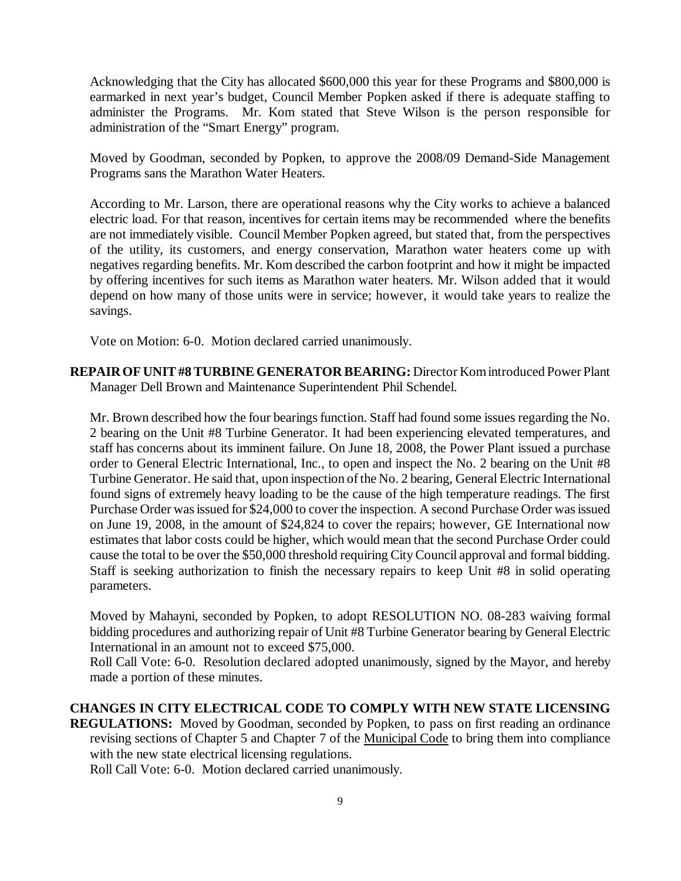Acknowledging that the City has allocated \$600,000 this year for these Programs and \$800,000 is earmarked in next year's budget, Council Member Popken asked if there is adequate staffing to administer the Programs. Mr. Kom stated that Steve Wilson is the person responsible for administration of the "Smart Energy" program.

Moved by Goodman, seconded by Popken, to approve the 2008/09 Demand-Side Management Programs sans the Marathon Water Heaters.

According to Mr. Larson, there are operational reasons why the City works to achieve a balanced electric load. For that reason, incentives for certain items may be recommended where the benefits are not immediately visible. Council Member Popken agreed, but stated that, from the perspectives of the utility, its customers, and energy conservation, Marathon water heaters come up with negatives regarding benefits. Mr. Kom described the carbon footprint and how it might be impacted by offering incentives for such items as Marathon water heaters. Mr. Wilson added that it would depend on how many of those units were in service; however, it would take years to realize the savings.

Vote on Motion: 6-0. Motion declared carried unanimously.

**REPAIR OF UNIT #8 TURBINE GENERATOR BEARING:** Director Kom introduced Power Plant Manager Dell Brown and Maintenance Superintendent Phil Schendel.

Mr. Brown described how the four bearings function. Staff had found some issues regarding the No. 2 bearing on the Unit #8 Turbine Generator. It had been experiencing elevated temperatures, and staff has concerns about its imminent failure. On June 18, 2008, the Power Plant issued a purchase order to General Electric International, Inc., to open and inspect the No. 2 bearing on the Unit #8 Turbine Generator. He said that, upon inspection of the No. 2 bearing, General Electric International found signs of extremely heavy loading to be the cause of the high temperature readings. The first Purchase Order was issued for \$24,000 to cover the inspection. A second Purchase Order was issued on June 19, 2008, in the amount of \$24,824 to cover the repairs; however, GE International now estimates that labor costs could be higher, which would mean that the second Purchase Order could cause the total to be over the \$50,000 threshold requiring City Council approval and formal bidding. Staff is seeking authorization to finish the necessary repairs to keep Unit #8 in solid operating parameters.

Moved by Mahayni, seconded by Popken, to adopt RESOLUTION NO. 08-283 waiving formal bidding procedures and authorizing repair of Unit #8 Turbine Generator bearing by General Electric International in an amount not to exceed \$75,000.

Roll Call Vote: 6-0. Resolution declared adopted unanimously, signed by the Mayor, and hereby made a portion of these minutes.

**CHANGES IN CITY ELECTRICAL CODE TO COMPLY WITH NEW STATE LICENSING REGULATIONS:** Moved by Goodman, seconded by Popken, to pass on first reading an ordinance revising sections of Chapter 5 and Chapter 7 of the Municipal Code to bring them into compliance with the new state electrical licensing regulations.

Roll Call Vote: 6-0. Motion declared carried unanimously.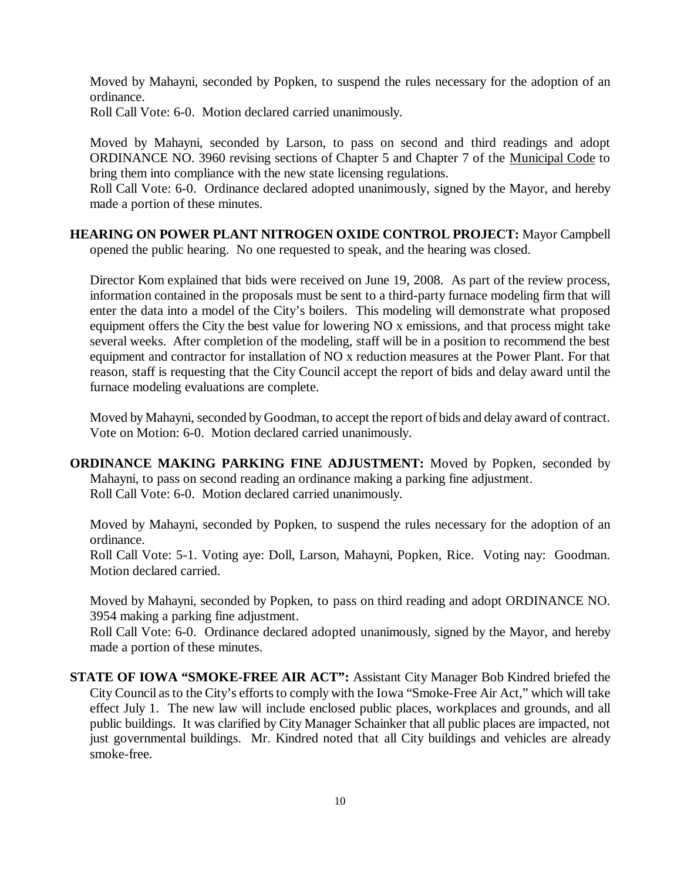Moved by Mahayni, seconded by Popken, to suspend the rules necessary for the adoption of an ordinance.

Roll Call Vote: 6-0. Motion declared carried unanimously.

Moved by Mahayni, seconded by Larson, to pass on second and third readings and adopt ORDINANCE NO. 3960 revising sections of Chapter 5 and Chapter 7 of the Municipal Code to bring them into compliance with the new state licensing regulations.

Roll Call Vote: 6-0. Ordinance declared adopted unanimously, signed by the Mayor, and hereby made a portion of these minutes.

**HEARING ON POWER PLANT NITROGEN OXIDE CONTROL PROJECT:** Mayor Campbell opened the public hearing. No one requested to speak, and the hearing was closed.

Director Kom explained that bids were received on June 19, 2008. As part of the review process, information contained in the proposals must be sent to a third-party furnace modeling firm that will enter the data into a model of the City's boilers. This modeling will demonstrate what proposed equipment offers the City the best value for lowering NO x emissions, and that process might take several weeks. After completion of the modeling, staff will be in a position to recommend the best equipment and contractor for installation of NO x reduction measures at the Power Plant. For that reason, staff is requesting that the City Council accept the report of bids and delay award until the furnace modeling evaluations are complete.

Moved by Mahayni, seconded by Goodman, to accept the report of bids and delay award of contract. Vote on Motion: 6-0. Motion declared carried unanimously.

**ORDINANCE MAKING PARKING FINE ADJUSTMENT:** Moved by Popken, seconded by Mahayni, to pass on second reading an ordinance making a parking fine adjustment. Roll Call Vote: 6-0. Motion declared carried unanimously.

Moved by Mahayni, seconded by Popken, to suspend the rules necessary for the adoption of an ordinance.

Roll Call Vote: 5-1. Voting aye: Doll, Larson, Mahayni, Popken, Rice. Voting nay: Goodman. Motion declared carried.

Moved by Mahayni, seconded by Popken, to pass on third reading and adopt ORDINANCE NO. 3954 making a parking fine adjustment.

Roll Call Vote: 6-0. Ordinance declared adopted unanimously, signed by the Mayor, and hereby made a portion of these minutes.

**STATE OF IOWA "SMOKE-FREE AIR ACT":** Assistant City Manager Bob Kindred briefed the City Council as to the City's efforts to comply with the Iowa "Smoke-Free Air Act," which will take effect July 1. The new law will include enclosed public places, workplaces and grounds, and all public buildings. It was clarified by City Manager Schainker that all public places are impacted, not just governmental buildings. Mr. Kindred noted that all City buildings and vehicles are already smoke-free.